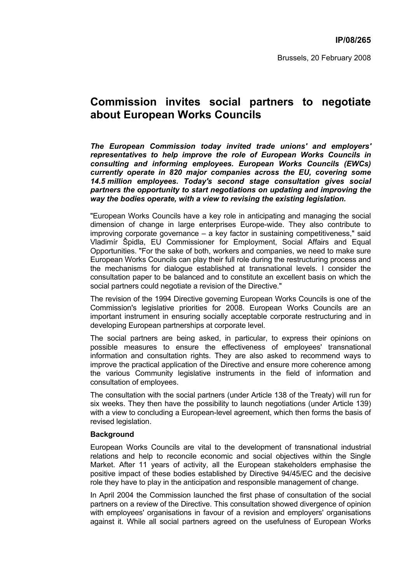## **Commission invites social partners to negotiate about European Works Councils**

*The European Commission today invited trade unions' and employers' representatives to help improve the role of European Works Councils in consulting and informing employees. European Works Councils (EWCs) currently operate in 820 major companies across the EU, covering some 14.5 million employees. Today's second stage consultation gives social partners the opportunity to start negotiations on updating and improving the way the bodies operate, with a view to revising the existing legislation.* 

"European Works Councils have a key role in anticipating and managing the social dimension of change in large enterprises Europe-wide. They also contribute to improving corporate governance – a key factor in sustaining competitiveness," said Vladimír Špidla, EU Commissioner for Employment, Social Affairs and Equal Opportunities. "For the sake of both, workers and companies, we need to make sure European Works Councils can play their full role during the restructuring process and the mechanisms for dialogue established at transnational levels. I consider the consultation paper to be balanced and to constitute an excellent basis on which the social partners could negotiate a revision of the Directive."

The revision of the 1994 Directive governing European Works Councils is one of the Commission's legislative priorities for 2008. European Works Councils are an important instrument in ensuring socially acceptable corporate restructuring and in developing European partnerships at corporate level.

The social partners are being asked, in particular, to express their opinions on possible measures to ensure the effectiveness of employees' transnational information and consultation rights. They are also asked to recommend ways to improve the practical application of the Directive and ensure more coherence among the various Community legislative instruments in the field of information and consultation of employees.

The consultation with the social partners (under Article 138 of the Treaty) will run for six weeks. They then have the possibility to launch negotiations (under Article 139) with a view to concluding a European-level agreement, which then forms the basis of revised legislation.

## **Background**

European Works Councils are vital to the development of transnational industrial relations and help to reconcile economic and social objectives within the Single Market. After 11 years of activity, all the European stakeholders emphasise the positive impact of these bodies established by Directive 94/45/EC and the decisive role they have to play in the anticipation and responsible management of change.

In April 2004 the Commission launched the first phase of consultation of the social partners on a review of the Directive. This consultation showed divergence of opinion with employees' organisations in favour of a revision and employers' organisations against it. While all social partners agreed on the usefulness of European Works